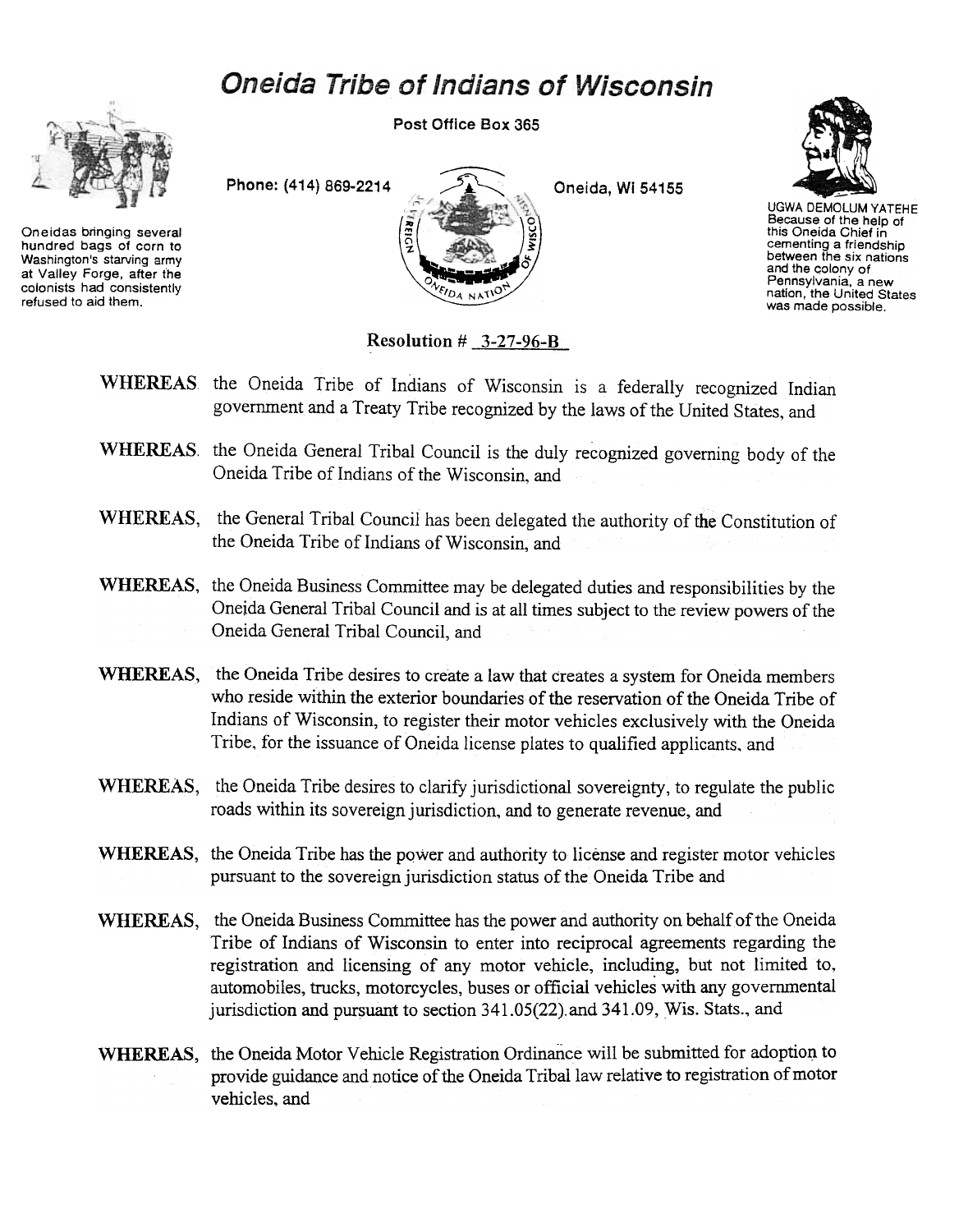## **Oneida Tribe of Indians of Wisconsin**



Oneidas bringing several hundred bags of corn to Washington's starving army at Valley Forge, after the colonists had consistently refused to aid them.

Post Office Box 365





UGWA DEMOLUM YATEHE Because of the help of this Oneida Chief in cementing a friendship between the six nations and the colony of Pennsylvania, a new nation, the United States was made possible.

Resolution  $\#$  3-27-96-B

- WHEREAS the Oneida Tribe of Indians of Wisconsin is a federally recognized Indian government and a Treaty Tribe recognized by the laws of the United States, and
- WHEREAS. the Oneida General Tribal Council is the duly recognized governing body of the Oneida Tribe of Indians of the Wisconsin, and
- WHEREAS, the General Tribal Council has been delegated the authority of the Constitution of the Oneida Tribe of Indians of Wisconsin, and
- WHEREAS, the Oneida Business Committee may be delegated duties and responsibilities by the Oneida General Tribal Council and is at all times subject to the review powers of the Oneida General Tribal Council, and
- WHEREAS, the Oneida Tribe desires to create a law that creates a system for Oneida members who reside within the exterior boundaries of the reservation of the Oneida Tribe of Indians of Wisconsin, to register their motor vehicles exclusively with the Oneida Tribe. for the issuance of Oneida license plates to qualified applicants. and
- WHEREAS, the Oneida Tribe desires to clarify jurisdictional sovereignty, to regulate the public roads within its sovereign jurisdiction, and to generate revenue, and
- WHEREAS, the Oneida Tribe has the power and authority to license and register motor vehicles pursuant to the sovereign jurisdiction status of the Oneida Tribe and
- WHEREAS, the Oneida Business Committee has the power and authority on behalf of the Oneida Tribe of Indians of Wisconsin to enter into reciprocal agreements regarding the registration and licensing of any motor vehicle, including, but not limited to, automobiles, trucks, motorcycles, buses or official vehicles with any governmental jurisdiction and pursuant to section 341.05(22).and 341.09, Wis. Stats.., and
- WHEREAS, the Oneida Motor Vehicle Registration Ordinance will be submitted for adoption to provide guidance and notice of the Oneida Tribal law relative to registration of motor vehicles, and